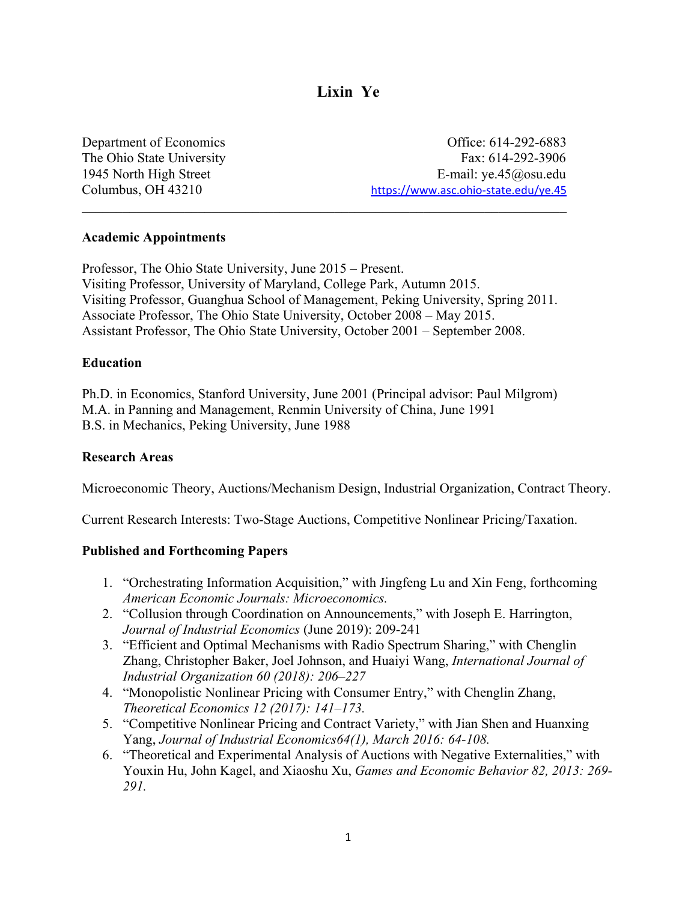# **Lixin Ye**

Department of Economics Office: 614-292-6883 The Ohio State University Fax: 614-292-3906 1945 North High Street E-mail: ye.45@osu.edu Columbus, OH 43210 *H* [https://www.asc.ohio-state.edu/ye.45](https://www.asc.ohio-state.edu/ye.45U)*<sup>U</sup>*

### **Academic Appointments**

Professor, The Ohio State University, June 2015 – Present. Visiting Professor, University of Maryland, College Park, Autumn 2015. Visiting Professor, Guanghua School of Management, Peking University, Spring 2011. Associate Professor, The Ohio State University, October 2008 – May 2015. Assistant Professor, The Ohio State University, October 2001 – September 2008.

 $\mathcal{L}_\text{max} = \mathcal{L}_\text{max} = \mathcal{L}_\text{max} = \mathcal{L}_\text{max} = \mathcal{L}_\text{max} = \mathcal{L}_\text{max} = \mathcal{L}_\text{max} = \mathcal{L}_\text{max} = \mathcal{L}_\text{max} = \mathcal{L}_\text{max} = \mathcal{L}_\text{max} = \mathcal{L}_\text{max} = \mathcal{L}_\text{max} = \mathcal{L}_\text{max} = \mathcal{L}_\text{max} = \mathcal{L}_\text{max} = \mathcal{L}_\text{max} = \mathcal{L}_\text{max} = \mathcal{$ 

## **Education**

Ph.D. in Economics, Stanford University, June 2001 (Principal advisor: Paul Milgrom) M.A. in Panning and Management, Renmin University of China, June 1991 B.S. in Mechanics, Peking University, June 1988

### **Research Areas**

Microeconomic Theory, Auctions/Mechanism Design, Industrial Organization, Contract Theory.

Current Research Interests: Two-Stage Auctions, Competitive Nonlinear Pricing/Taxation.

# **Published and Forthcoming Papers**

- 1. "Orchestrating Information Acquisition," with Jingfeng Lu and Xin Feng, forthcoming *American Economic Journals: Microeconomics.*
- 2. "Collusion through Coordination on Announcements," with Joseph E. Harrington, *Journal of Industrial Economics* (June 2019): 209-241
- 3. "Efficient and Optimal Mechanisms with Radio Spectrum Sharing," with Chenglin Zhang, Christopher Baker, Joel Johnson, and Huaiyi Wang, *International Journal of Industrial Organization 60 (2018): 206–227*
- 4. "Monopolistic Nonlinear Pricing with Consumer Entry," with Chenglin Zhang, *Theoretical Economics 12 (2017): 141–173.*
- 5. "Competitive Nonlinear Pricing and Contract Variety," with Jian Shen and Huanxing Yang, *Journal of Industrial Economics64(1), March 2016: 64-108.*
- 6. "Theoretical and Experimental Analysis of Auctions with Negative Externalities," with Youxin Hu, John Kagel, and Xiaoshu Xu, *Games and Economic Behavior 82, 2013: 269- 291.*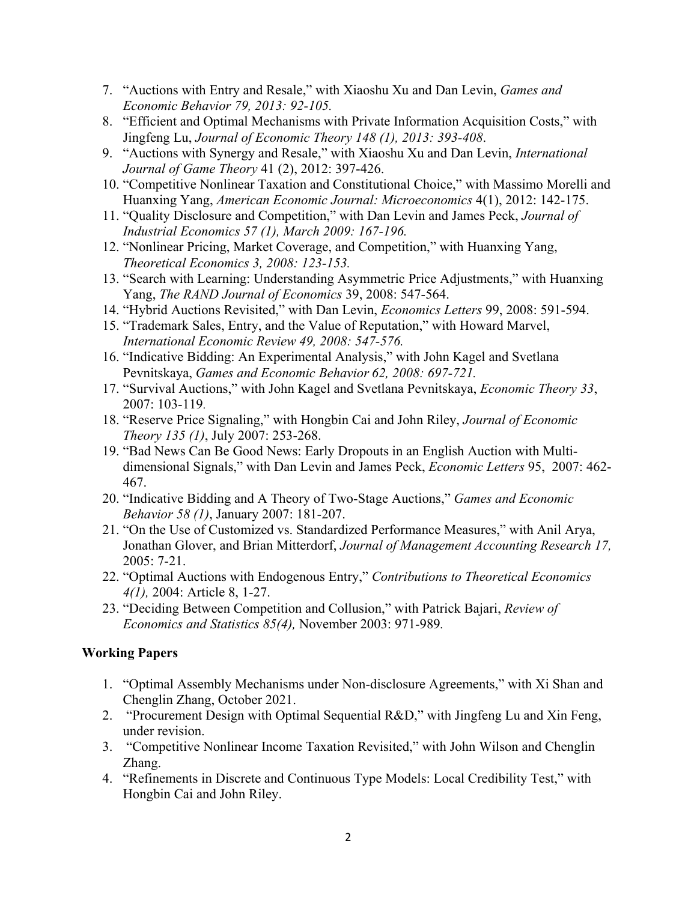- 7. "Auctions with Entry and Resale," with Xiaoshu Xu and Dan Levin, *Games and Economic Behavior 79, 2013: 92-105.*
- 8. ["Efficient and Optimal Mechanisms with Private Information Acquisition Costs," w](http://www.econ.ohio-state.edu/lixinye/Research/Lu-Ye-Jun10.pdf)ith Jingfeng Lu, *Journal of Economic Theory 148 (1), 2013: 393-408*.
- 9. "Auctions with Synergy and Resale," with Xiaoshu Xu and Dan Levin, *International Journal of Game Theory* 41 (2), 2012: 397-426.
- 10. "Competitive Nonlinear Taxation and Constitutional Choice," with Massimo Morelli and Huanxing Yang, *American Economic Journal: Microeconomics* 4(1), 2012: 142-175.
- 11. "Quality Disclosure and Competition," with Dan Levin and James Peck, *Journal of Industrial Economics 57 (1), March 2009: 167-196.*
- 12. "Nonlinear Pricing, Market Coverage, and Competition," with Huanxing Yang, *Theoretical Economics 3, 2008: 123-153.*
- 13. "Search with Learning: Understanding Asymmetric Price Adjustments," with Huanxing Yang, *The RAND Journal of Economics* 39, 2008: 547-564.
- 14. "Hybrid Auctions Revisited," with Dan Levin, *Economics Letters* 99, 2008: 591-594.
- 15. "Trademark Sales, Entry, and the Value of Reputation," with Howard Marvel, *International Economic Review 49, 2008: 547-576.*
- 16. "Indicative Bidding: An Experimental Analysis," with John Kagel and Svetlana Pevnitskaya, *Games and Economic Behavior 62, 2008: 697-721.*
- 17. "Survival Auctions," with John Kagel and Svetlana Pevnitskaya, *Economic Theory 33*, 2007: 103-119.
- 18. "Reserve Price Signaling," with Hongbin Cai and John Riley, *Journal of Economic Theory 135 (1)*, July 2007: 253-268.
- 19. "Bad News Can Be Good News: Early Dropouts in an English Auction with Multidimensional Signals," with Dan Levin and James Peck, *Economic Letters* 95, 2007: 462- 467.
- 20. "Indicative Bidding and A Theory of Two-Stage Auctions," *Games and Economic Behavior 58 (1)*, January 2007: 181-207.
- 21. "On the Use of Customized vs. Standardized Performance Measures," with Anil Arya, Jonathan Glover, and Brian Mitterdorf, *Journal of Management Accounting Research 17,*  2005: 7-21.
- 22. "Optimal Auctions with Endogenous Entry," *Contributions to Theoretical Economics 4(1),* 2004: Article 8, 1-27.
- 23. "Deciding Between Competition and Collusion," with Patrick Bajari, *Review of Economics and Statistics 85(4),* November 2003: 971-989*.*

# **Working Papers**

- 1. "Optimal Assembly Mechanisms under Non-disclosure Agreements," with Xi Shan and Chenglin Zhang, October 2021.
- 2. "Procurement Design with Optimal Sequential R&D," with Jingfeng Lu and Xin Feng, under revision.
- 3. "Competitive Nonlinear Income Taxation Revisited," with John Wilson and Chenglin Zhang.
- 4. "Refinements in Discrete and Continuous Type Models: Local Credibility Test," with Hongbin Cai and John Riley.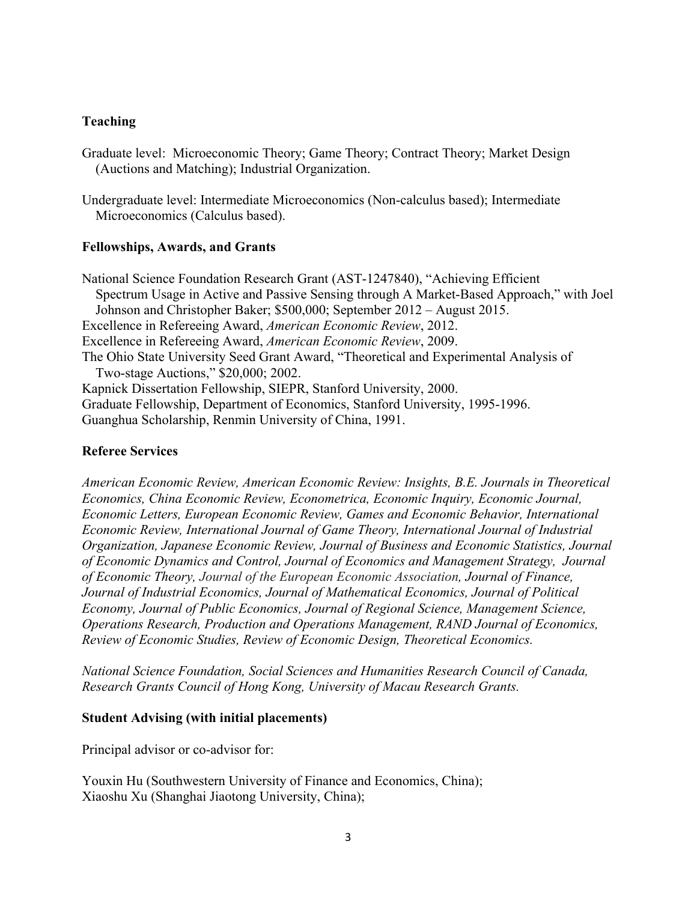## **Teaching**

Graduate level: Microeconomic Theory; Game Theory; Contract Theory; Market Design (Auctions and Matching); Industrial Organization.

Undergraduate level: Intermediate Microeconomics (Non-calculus based); Intermediate Microeconomics (Calculus based).

#### **Fellowships, Awards, and Grants**

National Science Foundation Research Grant (AST-1247840), "Achieving Efficient Spectrum Usage in Active and Passive Sensing through A Market-Based Approach," with Joel Johnson and Christopher Baker; \$500,000; September 2012 – August 2015. Excellence in Refereeing Award, *American Economic Review*, 2012. Excellence in Refereeing Award, *American Economic Review*, 2009. The Ohio State University Seed Grant Award, "Theoretical and Experimental Analysis of Two-stage Auctions," \$20,000; 2002. Kapnick Dissertation Fellowship, SIEPR, Stanford University, 2000. Graduate Fellowship, Department of Economics, Stanford University, 1995-1996. Guanghua Scholarship, Renmin University of China, 1991.

#### **Referee Services**

*American Economic Review, American Economic Review: Insights, B.E. Journals in Theoretical Economics, China Economic Review, Econometrica, Economic Inquiry, Economic Journal, Economic Letters, European Economic Review, Games and Economic Behavior, International Economic Review, International Journal of Game Theory, International Journal of Industrial Organization, Japanese Economic Review, Journal of Business and Economic Statistics, Journal of Economic Dynamics and Control, Journal of Economics and Management Strategy, Journal of Economic Theory, Journal of the European Economic Association, Journal of Finance, Journal of Industrial Economics, Journal of Mathematical Economics, Journal of Political Economy, Journal of Public Economics, Journal of Regional Science, Management Science, Operations Research, Production and Operations Management, RAND Journal of Economics, Review of Economic Studies, Review of Economic Design, Theoretical Economics.* 

*National Science Foundation, Social Sciences and Humanities Research Council of Canada, Research Grants Council of Hong Kong, University of Macau Research Grants.* 

#### **Student Advising (with initial placements)**

Principal advisor or co-advisor for:

Youxin Hu (Southwestern University of Finance and Economics, China); Xiaoshu Xu (Shanghai Jiaotong University, China);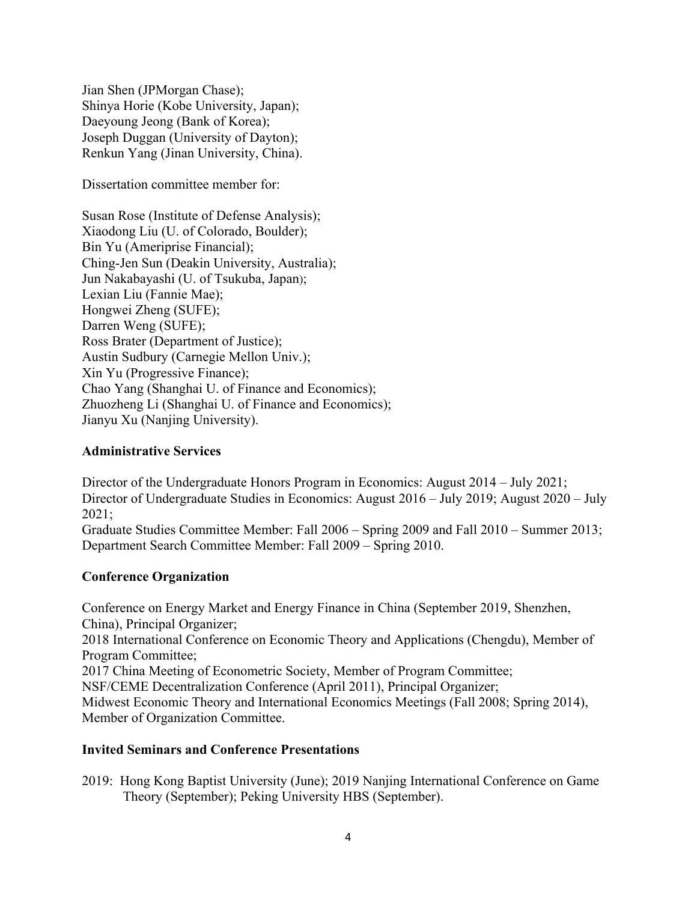Jian Shen (JPMorgan Chase); Shinya Horie (Kobe University, Japan); Daeyoung Jeong (Bank of Korea); Joseph Duggan (University of Dayton); Renkun Yang (Jinan University, China).

Dissertation committee member for:

Susan Rose (Institute of Defense Analysis); Xiaodong Liu (U. of Colorado, Boulder); Bin Yu (Ameriprise Financial); Ching-Jen Sun (Deakin University, Australia); Jun Nakabayashi (U. of Tsukuba, Japan); Lexian Liu (Fannie Mae); Hongwei Zheng (SUFE); Darren Weng (SUFE); Ross Brater (Department of Justice); Austin Sudbury (Carnegie Mellon Univ.); Xin Yu (Progressive Finance); Chao Yang (Shanghai U. of Finance and Economics); Zhuozheng Li (Shanghai U. of Finance and Economics); Jianyu Xu (Nanjing University).

# **Administrative Services**

Director of the Undergraduate Honors Program in Economics: August 2014 – July 2021; Director of Undergraduate Studies in Economics: August 2016 – July 2019; August 2020 – July 2021; Graduate Studies Committee Member: Fall 2006 – Spring 2009 and Fall 2010 – Summer 2013; Department Search Committee Member: Fall 2009 – Spring 2010.

### **Conference Organization**

Conference on Energy Market and Energy Finance in China (September 2019, Shenzhen, China), Principal Organizer; 2018 International Conference on Economic Theory and Applications (Chengdu), Member of Program Committee; 2017 China Meeting of Econometric Society, Member of Program Committee; NSF/CEME Decentralization Conference (April 2011), Principal Organizer; Midwest Economic Theory and International Economics Meetings (Fall 2008; Spring 2014), Member of Organization Committee.

### **Invited Seminars and Conference Presentations**

2019: Hong Kong Baptist University (June); 2019 Nanjing International Conference on Game Theory (September); Peking University HBS (September).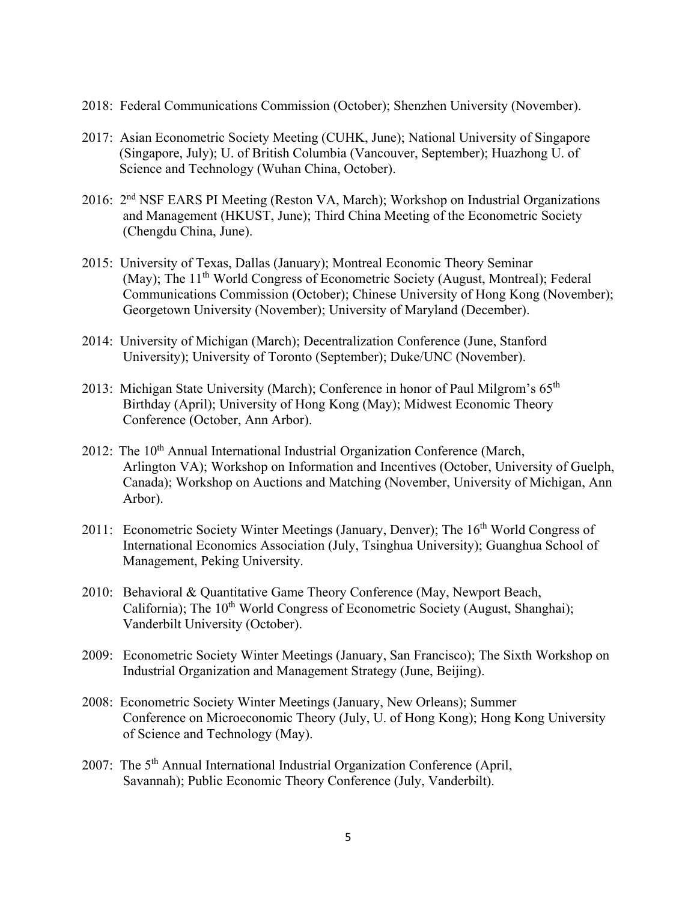- 2018: Federal Communications Commission (October); Shenzhen University (November).
- 2017: Asian Econometric Society Meeting (CUHK, June); National University of Singapore (Singapore, July); U. of British Columbia (Vancouver, September); Huazhong U. of Science and Technology (Wuhan China, October).
- 2016: 2nd NSF EARS PI Meeting (Reston VA, March); Workshop on Industrial Organizations and Management (HKUST, June); Third China Meeting of the Econometric Society (Chengdu China, June).
- 2015: University of Texas, Dallas (January); Montreal Economic Theory Seminar (May); The 11<sup>th</sup> World Congress of Econometric Society (August, Montreal); Federal Communications Commission (October); Chinese University of Hong Kong (November); Georgetown University (November); University of Maryland (December).
- 2014: University of Michigan (March); Decentralization Conference (June, Stanford University); University of Toronto (September); Duke/UNC (November).
- 2013: Michigan State University (March); Conference in honor of Paul Milgrom's 65<sup>th</sup> Birthday (April); University of Hong Kong (May); Midwest Economic Theory Conference (October, Ann Arbor).
- 2012: The 10<sup>th</sup> Annual International Industrial Organization Conference (March, Arlington VA); Workshop on Information and Incentives (October, University of Guelph, Canada); Workshop on Auctions and Matching (November, University of Michigan, Ann Arbor).
- 2011: Econometric Society Winter Meetings (January, Denver); The 16<sup>th</sup> World Congress of International Economics Association (July, Tsinghua University); Guanghua School of Management, Peking University.
- 2010: Behavioral & Quantitative Game Theory Conference (May, Newport Beach, California); The 10<sup>th</sup> World Congress of Econometric Society (August, Shanghai); Vanderbilt University (October).
- 2009: Econometric Society Winter Meetings (January, San Francisco); The Sixth Workshop on Industrial Organization and Management Strategy (June, Beijing).
- 2008: Econometric Society Winter Meetings (January, New Orleans); Summer Conference on Microeconomic Theory (July, U. of Hong Kong); Hong Kong University of Science and Technology (May).
- 2007: The 5<sup>th</sup> Annual International Industrial Organization Conference (April, Savannah); Public Economic Theory Conference (July, Vanderbilt).